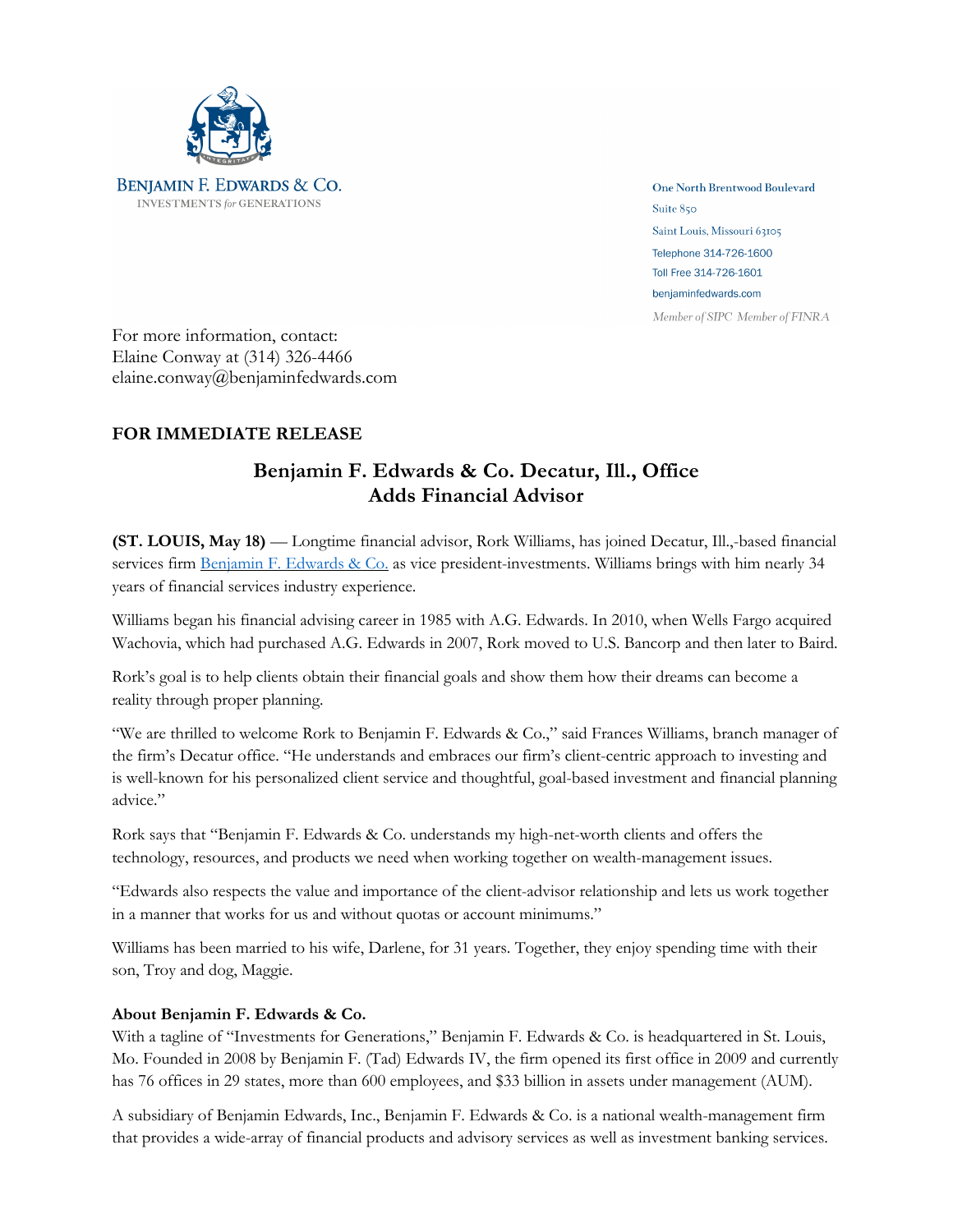

One North Brentwood Boulevard Suite 850 Saint Louis, Missouri 63105 Telephone 314-726-1600 Toll Free 314-726-1601 benjaminfedwards.com Member of SIPC Member of FINRA

For more information, contact: Elaine Conway at (314) 326-4466 elaine.conway@benjaminfedwards.com

## **FOR IMMEDIATE RELEASE**

## **Benjamin F. Edwards & Co. Decatur, Ill., Office Adds Financial Advisor**

**(ST. LOUIS, May 18)** — Longtime financial advisor, Rork Williams, has joined Decatur, Ill.,-based financial services firm Benjamin F. Edwards & Co. as vice president-investments. Williams brings with him nearly 34 years of financial services industry experience.

Williams began his financial advising career in 1985 with A.G. Edwards. In 2010, when Wells Fargo acquired Wachovia, which had purchased A.G. Edwards in 2007, Rork moved to U.S. Bancorp and then later to Baird.

Rork's goal is to help clients obtain their financial goals and show them how their dreams can become a reality through proper planning.

"We are thrilled to welcome Rork to Benjamin F. Edwards & Co.," said Frances Williams, branch manager of the firm's Decatur office. "He understands and embraces our firm's client-centric approach to investing and is well-known for his personalized client service and thoughtful, goal-based investment and financial planning advice."

Rork says that "Benjamin F. Edwards & Co. understands my high-net-worth clients and offers the technology, resources, and products we need when working together on wealth-management issues.

"Edwards also respects the value and importance of the client-advisor relationship and lets us work together in a manner that works for us and without quotas or account minimums."

Williams has been married to his wife, Darlene, for 31 years. Together, they enjoy spending time with their son, Troy and dog, Maggie.

## **About Benjamin F. Edwards & Co.**

With a tagline of "Investments for Generations," Benjamin F. Edwards & Co. is headquartered in St. Louis, Mo. Founded in 2008 by Benjamin F. (Tad) Edwards IV, the firm opened its first office in 2009 and currently has 76 offices in 29 states, more than 600 employees, and \$33 billion in assets under management (AUM).

A subsidiary of Benjamin Edwards, Inc., Benjamin F. Edwards & Co. is a national wealth-management firm that provides a wide-array of financial products and advisory services as well as investment banking services.